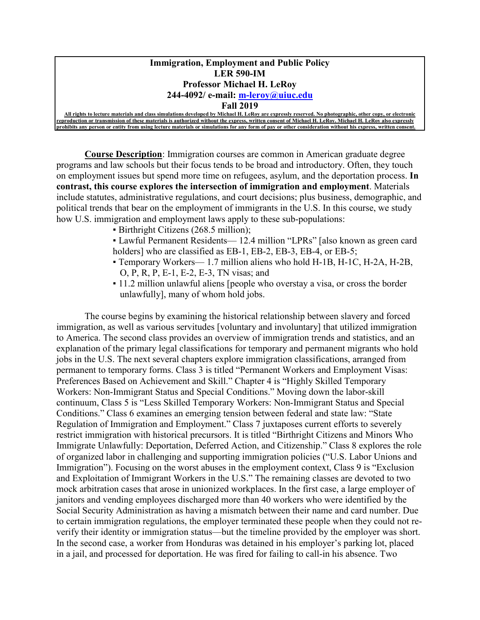#### **Immigration, Employment and Public Policy LER 590-IM Professor Michael H. LeRoy 244-4092/ e-mail: [m-leroy@uiuc.edu](mailto:m-leroy@uiuc.edu)**

#### **Fall 2019**

**All rights to lecture materials and class simulations developed by Michael H. LeRoy are expressly reserved. No photographic, other copy, or electronic reproduction or transmission of these materials is authorized without the express, written consent of Michael H. LeRoy. Michael H. LeRoy also expressly prohibits any person or entity from using lecture materials or simulations for any form of pay or other consideration without his express** 

**Course Description**: Immigration courses are common in American graduate degree programs and law schools but their focus tends to be broad and introductory. Often, they touch on employment issues but spend more time on refugees, asylum, and the deportation process. **In contrast, this course explores the intersection of immigration and employment**. Materials include statutes, administrative regulations, and court decisions; plus business, demographic, and political trends that bear on the employment of immigrants in the U.S. In this course, we study how U.S. immigration and employment laws apply to these sub-populations:

- Birthright Citizens (268.5 million);
- Lawful Permanent Residents— 12.4 million "LPRs" [also known as green card holders] who are classified as EB-1, EB-2, EB-3, EB-4, or EB-5;
- Temporary Workers— 1.7 million aliens who hold H-1B, H-1C, H-2A, H-2B, O, P, R, P, E-1, E-2, E-3, TN visas; and
- 11.2 million unlawful aliens [people who overstay a visa, or cross the border unlawfully], many of whom hold jobs.

The course begins by examining the historical relationship between slavery and forced immigration, as well as various servitudes [voluntary and involuntary] that utilized immigration to America. The second class provides an overview of immigration trends and statistics, and an explanation of the primary legal classifications for temporary and permanent migrants who hold jobs in the U.S. The next several chapters explore immigration classifications, arranged from permanent to temporary forms. Class 3 is titled "Permanent Workers and Employment Visas: Preferences Based on Achievement and Skill." Chapter 4 is "Highly Skilled Temporary Workers: Non-Immigrant Status and Special Conditions." Moving down the labor-skill continuum, Class 5 is "Less Skilled Temporary Workers: Non-Immigrant Status and Special Conditions." Class 6 examines an emerging tension between federal and state law: "State Regulation of Immigration and Employment." Class 7 juxtaposes current efforts to severely restrict immigration with historical precursors. It is titled "Birthright Citizens and Minors Who Immigrate Unlawfully: Deportation, Deferred Action, and Citizenship." Class 8 explores the role of organized labor in challenging and supporting immigration policies ("U.S. Labor Unions and Immigration"). Focusing on the worst abuses in the employment context, Class 9 is "Exclusion" and Exploitation of Immigrant Workers in the U.S." The remaining classes are devoted to two mock arbitration cases that arose in unionized workplaces. In the first case, a large employer of janitors and vending employees discharged more than 40 workers who were identified by the Social Security Administration as having a mismatch between their name and card number. Due to certain immigration regulations, the employer terminated these people when they could not reverify their identity or immigration status—but the timeline provided by the employer was short. In the second case, a worker from Honduras was detained in his employer's parking lot, placed in a jail, and processed for deportation. He was fired for failing to call-in his absence. Two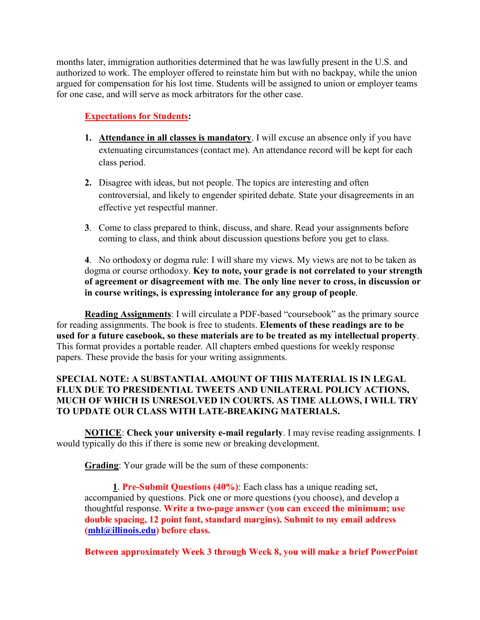months later, immigration authorities determined that he was lawfully present in the U.S. and authorized to work. The employer offered to reinstate him but with no backpay, while the union argued for compensation for his lost time. Students will be assigned to union or employer teams for one case, and will serve as mock arbitrators for the other case.

### **Expectations for Students:**

- **1. Attendance in all classes is mandatory**. I will excuse an absence only if you have extenuating circumstances (contact me). An attendance record will be kept for each class period.
- **2.** Disagree with ideas, but not people. The topics are interesting and often controversial, and likely to engender spirited debate. State your disagreements in an effective yet respectful manner.
- **3**. Come to class prepared to think, discuss, and share. Read your assignments before coming to class, and think about discussion questions before you get to class.

**4**. No orthodoxy or dogma rule: I will share my views. My views are not to be taken as dogma or course orthodoxy. **Key to note, your grade is not correlated to your strength of agreement or disagreement with me**. **The only line never to cross, in discussion or in course writings, is expressing intolerance for any group of people**.

**Reading Assignments**: I will circulate a PDF-based "coursebook" as the primary source for reading assignments. The book is free to students. **Elements of these readings are to be used for a future casebook, so these materials are to be treated as my intellectual property**. This format provides a portable reader. All chapters embed questions for weekly response papers. These provide the basis for your writing assignments.

#### **SPECIAL NOTE: A SUBSTANTIAL AMOUNT OF THIS MATERIAL IS IN LEGAL FLUX DUE TO PRESIDENTIAL TWEETS AND UNILATERAL POLICY ACTIONS, MUCH OF WHICH IS UNRESOLVED IN COURTS. AS TIME ALLOWS, I WILL TRY TO UPDATE OUR CLASS WITH LATE-BREAKING MATERIALS.**

**NOTICE**: **Check your university e-mail regularly**. I may revise reading assignments. I would typically do this if there is some new or breaking development.

**Grading**: Your grade will be the sum of these components:

**1**. **Pre-Submit Questions (40%)**: Each class has a unique reading set, accompanied by questions. Pick one or more questions (you choose), and develop a thoughtful response. **Write a two-page answer (you can exceed the minimum; use double spacing, 12 point font, standard margins). Submit to my email address [\(mhl@illinois.edu\)](mailto:mhl@illinois.edu) before class.** 

**Between approximately Week 3 through Week 8, you will make a brief PowerPoint**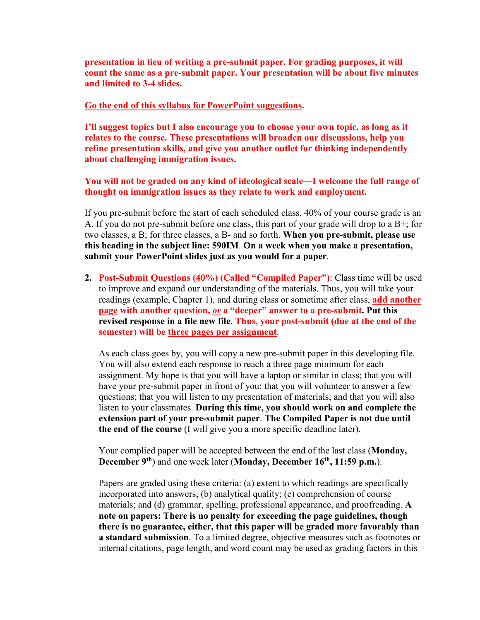**presentation in lieu of writing a pre-submit paper. For grading purposes, it will count the same as a pre-submit paper. Your presentation will be about five minutes and limited to 3-4 slides.** 

#### **Go the end of this syllabus for PowerPoint suggestions.**

**I'll suggest topics but I also encourage you to choose your own topic, as long as it relates to the course. These presentations will broaden our discussions, help you refine presentation skills, and give you another outlet for thinking independently about challenging immigration issues.** 

**You will not be graded on any kind of ideological scale—I welcome the full range of thought on immigration issues as they relate to work and employment.**

If you pre-submit before the start of each scheduled class, 40% of your course grade is an A. If you do not pre-submit before one class, this part of your grade will drop to a B+; for two classes, a B; for three classes, a B- and so forth. **When you pre-submit, please use this heading in the subject line: 590IM**. **On a week when you make a presentation, submit your PowerPoint slides just as you would for a paper**.

**2. Post-Submit Questions (40%) (Called "Compiled Paper")**: Class time will be used to improve and expand our understanding of the materials. Thus, you will take your readings (example, Chapter 1), and during class or sometime after class, **add another page with another question,** *or* **a "deeper" answer to a pre-submit. Put this revised response in a file new file**. **Thus, your post-submit (due at the end of the semester) will be three pages per assignment**.

As each class goes by, you will copy a new pre-submit paper in this developing file. You will also extend each response to reach a three page minimum for each assignment. My hope is that you will have a laptop or similar in class; that you will have your pre-submit paper in front of you; that you will volunteer to answer a few questions; that you will listen to my presentation of materials; and that you will also listen to your classmates. **During this time, you should work on and complete the extension part of your pre-submit paper**. **The Compiled Paper is not due until the end of the course** (I will give you a more specific deadline later).

Your complied paper will be accepted between the end of the last class (**Monday, December 9th**) and one week later (**Monday, December 16th, 11:59 p.m.**).

Papers are graded using these criteria: (a) extent to which readings are specifically incorporated into answers; (b) analytical quality; (c) comprehension of course materials; and (d) grammar, spelling, professional appearance, and proofreading. **A note on papers: There is no penalty for exceeding the page guidelines, though there is no guarantee, either, that this paper will be graded more favorably than a standard submission**. To a limited degree, objective measures such as footnotes or internal citations, page length, and word count may be used as grading factors in this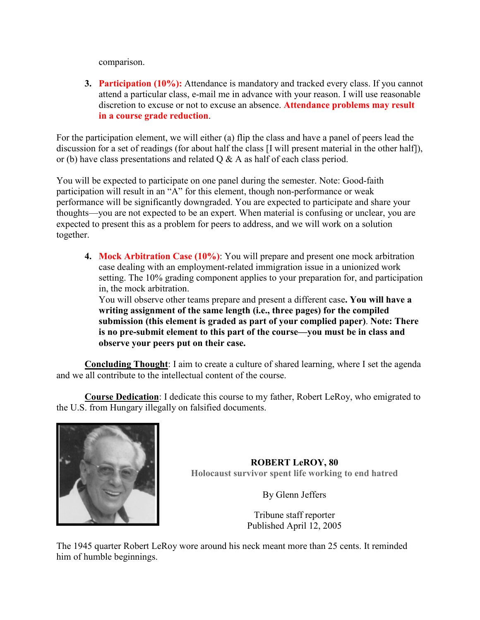comparison.

**3. Participation (10%):** Attendance is mandatory and tracked every class. If you cannot attend a particular class, e-mail me in advance with your reason. I will use reasonable discretion to excuse or not to excuse an absence. **Attendance problems may result in a course grade reduction**.

For the participation element, we will either (a) flip the class and have a panel of peers lead the discussion for a set of readings (for about half the class [I will present material in the other half]), or (b) have class presentations and related  $Q \& A$  as half of each class period.

You will be expected to participate on one panel during the semester. Note: Good-faith participation will result in an "A" for this element, though non-performance or weak performance will be significantly downgraded. You are expected to participate and share your thoughts—you are not expected to be an expert. When material is confusing or unclear, you are expected to present this as a problem for peers to address, and we will work on a solution together.

**4. Mock Arbitration Case (10%)**: You will prepare and present one mock arbitration case dealing with an employment-related immigration issue in a unionized work setting. The 10% grading component applies to your preparation for, and participation in, the mock arbitration.

You will observe other teams prepare and present a different case**. You will have a writing assignment of the same length (i.e., three pages) for the compiled submission (this element is graded as part of your complied paper)**. **Note: There is no pre-submit element to this part of the course—you must be in class and observe your peers put on their case.**

**Concluding Thought**: I aim to create a culture of shared learning, where I set the agenda and we all contribute to the intellectual content of the course.

**Course Dedication**: I dedicate this course to my father, Robert LeRoy, who emigrated to the U.S. from Hungary illegally on falsified documents.



**ROBERT LeROY, 80 Holocaust survivor spent life working to end hatred**

By Glenn Jeffers

Tribune staff reporter Published April 12, 2005

The 1945 quarter Robert LeRoy wore around his neck meant more than 25 cents. It reminded him of humble beginnings.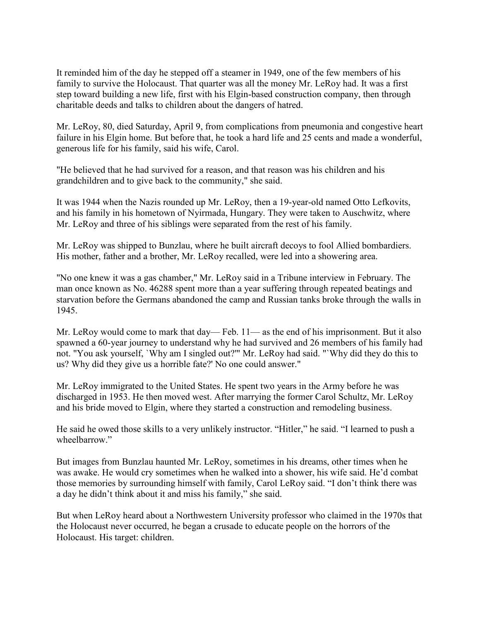It reminded him of the day he stepped off a steamer in 1949, one of the few members of his family to survive the Holocaust. That quarter was all the money Mr. LeRoy had. It was a first step toward building a new life, first with his Elgin-based construction company, then through charitable deeds and talks to children about the dangers of hatred.

Mr. LeRoy, 80, died Saturday, April 9, from complications from pneumonia and congestive heart failure in his Elgin home. But before that, he took a hard life and 25 cents and made a wonderful, generous life for his family, said his wife, Carol.

"He believed that he had survived for a reason, and that reason was his children and his grandchildren and to give back to the community," she said.

It was 1944 when the Nazis rounded up Mr. LeRoy, then a 19-year-old named Otto Lefkovits, and his family in his hometown of Nyirmada, Hungary. They were taken to Auschwitz, where Mr. LeRoy and three of his siblings were separated from the rest of his family.

Mr. LeRoy was shipped to Bunzlau, where he built aircraft decoys to fool Allied bombardiers. His mother, father and a brother, Mr. LeRoy recalled, were led into a showering area.

"No one knew it was a gas chamber," Mr. LeRoy said in a Tribune interview in February. The man once known as No. 46288 spent more than a year suffering through repeated beatings and starvation before the Germans abandoned the camp and Russian tanks broke through the walls in 1945.

Mr. LeRoy would come to mark that day— Feb. 11— as the end of his imprisonment. But it also spawned a 60-year journey to understand why he had survived and 26 members of his family had not. "You ask yourself, `Why am I singled out?'" Mr. LeRoy had said. "`Why did they do this to us? Why did they give us a horrible fate?' No one could answer."

Mr. LeRoy immigrated to the United States. He spent two years in the Army before he was discharged in 1953. He then moved west. After marrying the former Carol Schultz, Mr. LeRoy and his bride moved to Elgin, where they started a construction and remodeling business.

He said he owed those skills to a very unlikely instructor. "Hitler," he said. "I learned to push a wheelbarrow."

But images from Bunzlau haunted Mr. LeRoy, sometimes in his dreams, other times when he was awake. He would cry sometimes when he walked into a shower, his wife said. He'd combat those memories by surrounding himself with family, Carol LeRoy said. "I don't think there was a day he didn't think about it and miss his family," she said.

But when LeRoy heard about a Northwestern University professor who claimed in the 1970s that the Holocaust never occurred, he began a crusade to educate people on the horrors of the Holocaust. His target: children.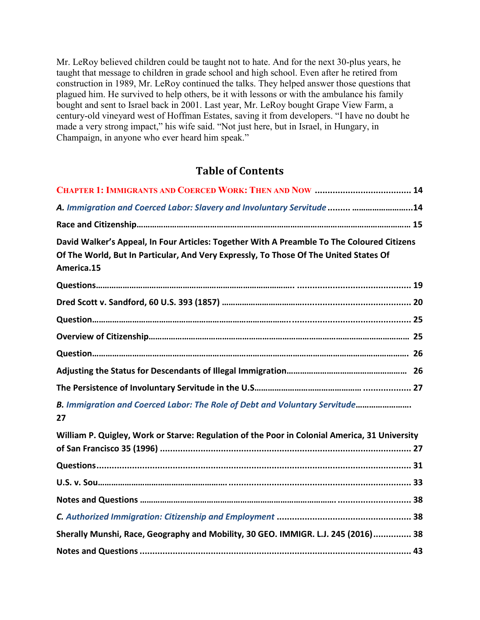Mr. LeRoy believed children could be taught not to hate. And for the next 30-plus years, he taught that message to children in grade school and high school. Even after he retired from construction in 1989, Mr. LeRoy continued the talks. They helped answer those questions that plagued him. He survived to help others, be it with lessons or with the ambulance his family bought and sent to Israel back in 2001. Last year, Mr. LeRoy bought Grape View Farm, a century-old vineyard west of Hoffman Estates, saving it from developers. "I have no doubt he made a very strong impact," his wife said. "Not just here, but in Israel, in Hungary, in Champaign, in anyone who ever heard him speak."

### **Table of Contents**

| A. Immigration and Coerced Labor: Slavery and Involuntary Servitude  14                                                                                                                           |  |
|---------------------------------------------------------------------------------------------------------------------------------------------------------------------------------------------------|--|
|                                                                                                                                                                                                   |  |
| David Walker's Appeal, In Four Articles: Together With A Preamble To The Coloured Citizens<br>Of The World, But In Particular, And Very Expressly, To Those Of The United States Of<br>America.15 |  |
|                                                                                                                                                                                                   |  |
|                                                                                                                                                                                                   |  |
|                                                                                                                                                                                                   |  |
|                                                                                                                                                                                                   |  |
|                                                                                                                                                                                                   |  |
|                                                                                                                                                                                                   |  |
|                                                                                                                                                                                                   |  |
| B. Immigration and Coerced Labor: The Role of Debt and Voluntary Servitude<br>27                                                                                                                  |  |
| William P. Quigley, Work or Starve: Regulation of the Poor in Colonial America, 31 University                                                                                                     |  |
|                                                                                                                                                                                                   |  |
|                                                                                                                                                                                                   |  |
|                                                                                                                                                                                                   |  |
|                                                                                                                                                                                                   |  |
|                                                                                                                                                                                                   |  |
| Sherally Munshi, Race, Geography and Mobility, 30 GEO. IMMIGR. L.J. 245 (2016) 38                                                                                                                 |  |
|                                                                                                                                                                                                   |  |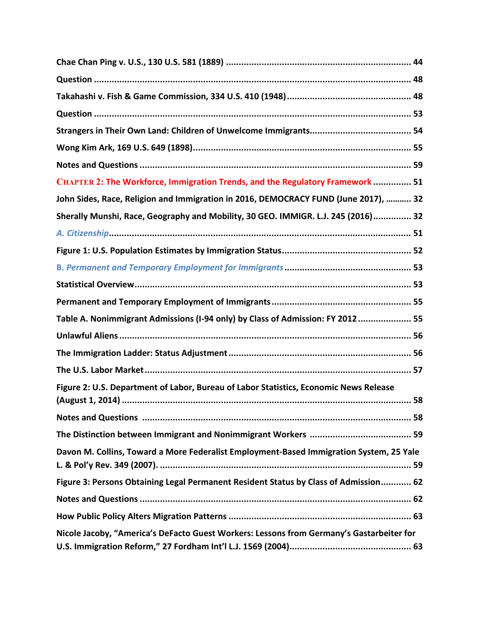| CHAPTER 2: The Workforce, Immigration Trends, and the Regulatory Framework  51           |
|------------------------------------------------------------------------------------------|
| John Sides, Race, Religion and Immigration in 2016, DEMOCRACY FUND (June 2017),  32      |
| Sherally Munshi, Race, Geography and Mobility, 30 GEO. IMMIGR. L.J. 245 (2016) 32        |
|                                                                                          |
|                                                                                          |
|                                                                                          |
|                                                                                          |
|                                                                                          |
| Table A. Nonimmigrant Admissions (I-94 only) by Class of Admission: FY 2012 55           |
|                                                                                          |
|                                                                                          |
|                                                                                          |
| Figure 2: U.S. Department of Labor, Bureau of Labor Statistics, Economic News Release    |
|                                                                                          |
|                                                                                          |
| Davon M. Collins, Toward a More Federalist Employment-Based Immigration System, 25 Yale  |
| Figure 3: Persons Obtaining Legal Permanent Resident Status by Class of Admission 62     |
|                                                                                          |
|                                                                                          |
| Nicole Jacoby, "America's DeFacto Guest Workers: Lessons from Germany's Gastarbeiter for |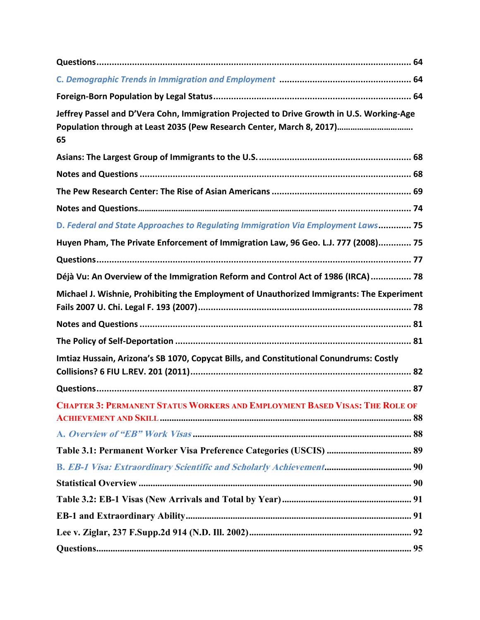| Jeffrey Passel and D'Vera Cohn, Immigration Projected to Drive Growth in U.S. Working-Age<br>Population through at Least 2035 (Pew Research Center, March 8, 2017)<br>65 |
|--------------------------------------------------------------------------------------------------------------------------------------------------------------------------|
|                                                                                                                                                                          |
|                                                                                                                                                                          |
|                                                                                                                                                                          |
|                                                                                                                                                                          |
| D. Federal and State Approaches to Regulating Immigration Via Employment Laws 75                                                                                         |
| Huyen Pham, The Private Enforcement of Immigration Law, 96 Geo. L.J. 777 (2008) 75                                                                                       |
|                                                                                                                                                                          |
| Déjà Vu: An Overview of the Immigration Reform and Control Act of 1986 (IRCA)  78                                                                                        |
| Michael J. Wishnie, Prohibiting the Employment of Unauthorized Immigrants: The Experiment                                                                                |
|                                                                                                                                                                          |
|                                                                                                                                                                          |
| Imtiaz Hussain, Arizona's SB 1070, Copycat Bills, and Constitutional Conundrums: Costly                                                                                  |
|                                                                                                                                                                          |
| <b>CHAPTER 3: PERMANENT STATUS WORKERS AND EMPLOYMENT BASED VISAS: THE ROLE OF</b>                                                                                       |
|                                                                                                                                                                          |
|                                                                                                                                                                          |
|                                                                                                                                                                          |
|                                                                                                                                                                          |
|                                                                                                                                                                          |
|                                                                                                                                                                          |
|                                                                                                                                                                          |
|                                                                                                                                                                          |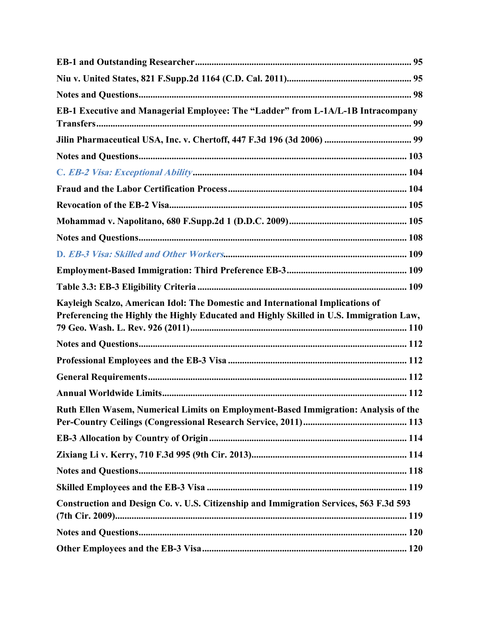| EB-1 Executive and Managerial Employee: The "Ladder" from L-1A/L-1B Intracompany                                                                                          |  |
|---------------------------------------------------------------------------------------------------------------------------------------------------------------------------|--|
|                                                                                                                                                                           |  |
|                                                                                                                                                                           |  |
|                                                                                                                                                                           |  |
|                                                                                                                                                                           |  |
|                                                                                                                                                                           |  |
|                                                                                                                                                                           |  |
|                                                                                                                                                                           |  |
|                                                                                                                                                                           |  |
|                                                                                                                                                                           |  |
|                                                                                                                                                                           |  |
| Kayleigh Scalzo, American Idol: The Domestic and International Implications of<br>Preferencing the Highly the Highly Educated and Highly Skilled in U.S. Immigration Law, |  |
|                                                                                                                                                                           |  |
|                                                                                                                                                                           |  |
|                                                                                                                                                                           |  |
|                                                                                                                                                                           |  |
| Ruth Ellen Wasem, Numerical Limits on Employment-Based Immigration: Analysis of the                                                                                       |  |
|                                                                                                                                                                           |  |
|                                                                                                                                                                           |  |
|                                                                                                                                                                           |  |
|                                                                                                                                                                           |  |
| Construction and Design Co. v. U.S. Citizenship and Immigration Services, 563 F.3d 593                                                                                    |  |
|                                                                                                                                                                           |  |
|                                                                                                                                                                           |  |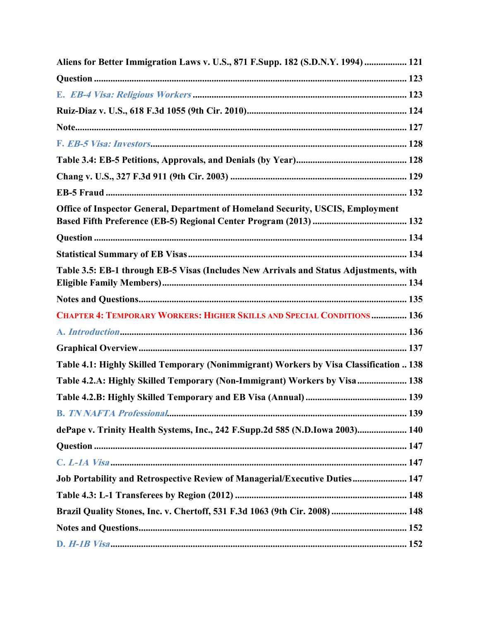| Aliens for Better Immigration Laws v. U.S., 871 F.Supp. 182 (S.D.N.Y. 1994)  121       |  |
|----------------------------------------------------------------------------------------|--|
|                                                                                        |  |
|                                                                                        |  |
|                                                                                        |  |
|                                                                                        |  |
|                                                                                        |  |
|                                                                                        |  |
|                                                                                        |  |
|                                                                                        |  |
| Office of Inspector General, Department of Homeland Security, USCIS, Employment        |  |
|                                                                                        |  |
|                                                                                        |  |
|                                                                                        |  |
| Table 3.5: EB-1 through EB-5 Visas (Includes New Arrivals and Status Adjustments, with |  |
|                                                                                        |  |
| CHAPTER 4: TEMPORARY WORKERS: HIGHER SKILLS AND SPECIAL CONDITIONS  136                |  |
|                                                                                        |  |
|                                                                                        |  |
| Table 4.1: Highly Skilled Temporary (Nonimmigrant) Workers by Visa Classification  138 |  |
| Table 4.2.A: Highly Skilled Temporary (Non-Immigrant) Workers by Visa 138              |  |
|                                                                                        |  |
|                                                                                        |  |
| dePape v. Trinity Health Systems, Inc., 242 F.Supp.2d 585 (N.D.Iowa 2003) 140          |  |
|                                                                                        |  |
|                                                                                        |  |
| Job Portability and Retrospective Review of Managerial/Executive Duties 147            |  |
|                                                                                        |  |
| Brazil Quality Stones, Inc. v. Chertoff, 531 F.3d 1063 (9th Cir. 2008)  148            |  |
|                                                                                        |  |
|                                                                                        |  |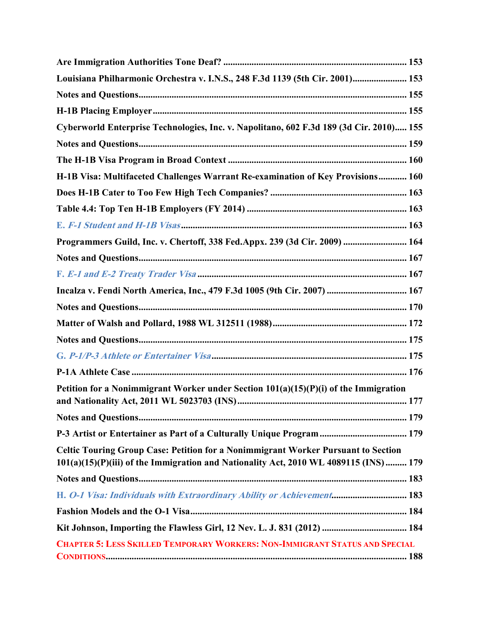| Louisiana Philharmonic Orchestra v. I.N.S., 248 F.3d 1139 (5th Cir. 2001) 153                                                                                             |
|---------------------------------------------------------------------------------------------------------------------------------------------------------------------------|
|                                                                                                                                                                           |
|                                                                                                                                                                           |
| Cyberworld Enterprise Technologies, Inc. v. Napolitano, 602 F.3d 189 (3d Cir. 2010) 155                                                                                   |
|                                                                                                                                                                           |
|                                                                                                                                                                           |
| H-1B Visa: Multifaceted Challenges Warrant Re-examination of Key Provisions 160                                                                                           |
|                                                                                                                                                                           |
|                                                                                                                                                                           |
|                                                                                                                                                                           |
| Programmers Guild, Inc. v. Chertoff, 338 Fed.Appx. 239 (3d Cir. 2009)  164                                                                                                |
|                                                                                                                                                                           |
|                                                                                                                                                                           |
| Incalza v. Fendi North America, Inc., 479 F.3d 1005 (9th Cir. 2007)  167                                                                                                  |
|                                                                                                                                                                           |
|                                                                                                                                                                           |
|                                                                                                                                                                           |
|                                                                                                                                                                           |
|                                                                                                                                                                           |
| Petition for a Nonimmigrant Worker under Section 101(a)(15)(P)(i) of the Immigration                                                                                      |
|                                                                                                                                                                           |
| P-3 Artist or Entertainer as Part of a Culturally Unique Program  179                                                                                                     |
| Celtic Touring Group Case: Petition for a Nonimmigrant Worker Pursuant to Section<br>101(a)(15)(P)(iii) of the Immigration and Nationality Act, 2010 WL 4089115 (INS) 179 |
|                                                                                                                                                                           |
| H. O-1 Visa: Individuals with Extraordinary Ability or Achievement 183                                                                                                    |
|                                                                                                                                                                           |
| Kit Johnson, Importing the Flawless Girl, 12 Nev. L. J. 831 (2012)  184                                                                                                   |
| <b>CHAPTER 5: LESS SKILLED TEMPORARY WORKERS: NON-IMMIGRANT STATUS AND SPECIAL</b>                                                                                        |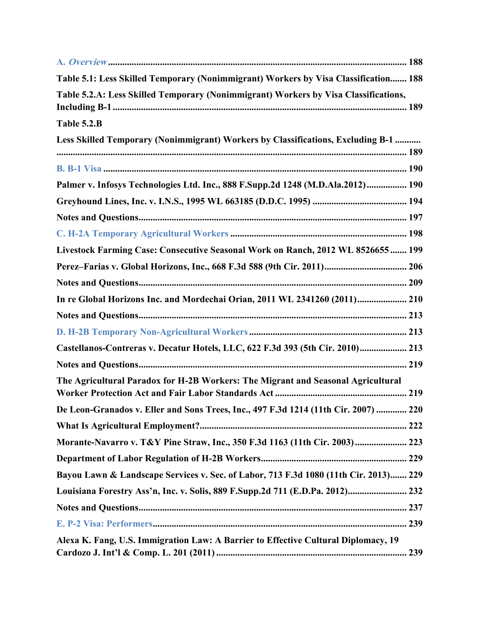| Table 5.1: Less Skilled Temporary (Nonimmigrant) Workers by Visa Classification 188  |
|--------------------------------------------------------------------------------------|
| Table 5.2.A: Less Skilled Temporary (Nonimmigrant) Workers by Visa Classifications,  |
| Table 5.2.B                                                                          |
| Less Skilled Temporary (Nonimmigrant) Workers by Classifications, Excluding B-1      |
|                                                                                      |
| Palmer v. Infosys Technologies Ltd. Inc., 888 F.Supp.2d 1248 (M.D.Ala.2012) 190      |
|                                                                                      |
|                                                                                      |
|                                                                                      |
| Livestock Farming Case: Consecutive Seasonal Work on Ranch, 2012 WL 8526655  199     |
| Perez-Farias v. Global Horizons, Inc., 668 F.3d 588 (9th Cir. 2011) 206              |
|                                                                                      |
| In re Global Horizons Inc. and Mordechai Orian, 2011 WL 2341260 (2011) 210           |
|                                                                                      |
|                                                                                      |
| Castellanos-Contreras v. Decatur Hotels, LLC, 622 F.3d 393 (5th Cir. 2010) 213       |
|                                                                                      |
| The Agricultural Paradox for H-2B Workers: The Migrant and Seasonal Agricultural     |
| De Leon-Granados v. Eller and Sons Trees, Inc., 497 F.3d 1214 (11th Cir. 2007)  220  |
|                                                                                      |
| Morante-Navarro v. T&Y Pine Straw, Inc., 350 F.3d 1163 (11th Cir. 2003) 223          |
|                                                                                      |
| Bayou Lawn & Landscape Services v. Sec. of Labor, 713 F.3d 1080 (11th Cir. 2013) 229 |
| Louisiana Forestry Ass'n, Inc. v. Solis, 889 F.Supp.2d 711 (E.D.Pa. 2012) 232        |
|                                                                                      |
|                                                                                      |
| Alexa K. Fang, U.S. Immigration Law: A Barrier to Effective Cultural Diplomacy, 19   |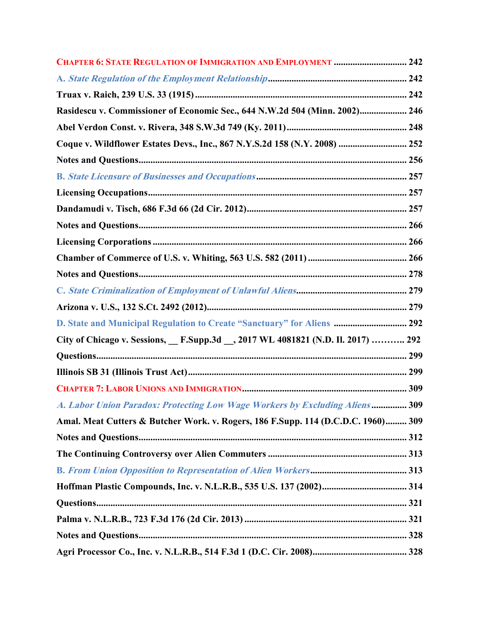| <b>CHAPTER 6: STATE REGULATION OF IMMIGRATION AND EMPLOYMENT  242</b>             |  |
|-----------------------------------------------------------------------------------|--|
|                                                                                   |  |
|                                                                                   |  |
| Rasidescu v. Commissioner of Economic Sec., 644 N.W.2d 504 (Minn. 2002) 246       |  |
|                                                                                   |  |
| Coque v. Wildflower Estates Devs., Inc., 867 N.Y.S.2d 158 (N.Y. 2008)  252        |  |
|                                                                                   |  |
|                                                                                   |  |
|                                                                                   |  |
|                                                                                   |  |
|                                                                                   |  |
|                                                                                   |  |
|                                                                                   |  |
|                                                                                   |  |
|                                                                                   |  |
|                                                                                   |  |
| D. State and Municipal Regulation to Create "Sanctuary" for Aliens  292           |  |
| City of Chicago v. Sessions, F.Supp.3d __, 2017 WL 4081821 (N.D. II. 2017)  292   |  |
|                                                                                   |  |
|                                                                                   |  |
|                                                                                   |  |
| A. Labor Union Paradox: Protecting Low Wage Workers by Excluding Aliens 309       |  |
| Amal. Meat Cutters & Butcher Work. v. Rogers, 186 F.Supp. 114 (D.C.D.C. 1960) 309 |  |
|                                                                                   |  |
|                                                                                   |  |
|                                                                                   |  |
|                                                                                   |  |
|                                                                                   |  |
|                                                                                   |  |
|                                                                                   |  |
|                                                                                   |  |
|                                                                                   |  |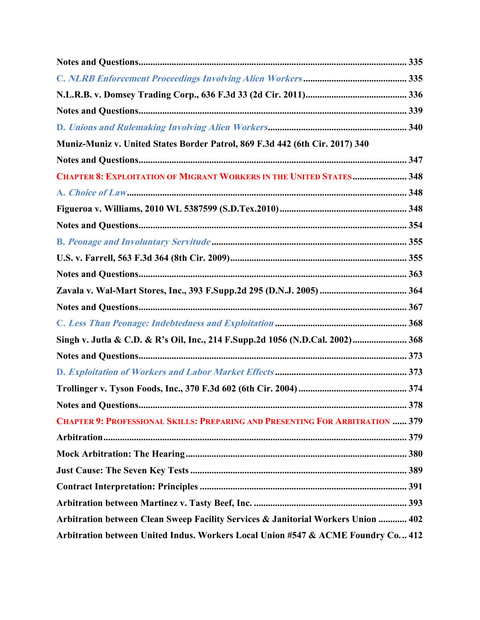| Muniz-Muniz v. United States Border Patrol, 869 F.3d 442 (6th Cir. 2017) 340         |     |
|--------------------------------------------------------------------------------------|-----|
|                                                                                      |     |
| <b>CHAPTER 8: EXPLOITATION OF MIGRANT WORKERS IN THE UNITED STATES 348</b>           |     |
|                                                                                      |     |
|                                                                                      |     |
|                                                                                      |     |
|                                                                                      |     |
|                                                                                      |     |
|                                                                                      |     |
|                                                                                      |     |
|                                                                                      |     |
|                                                                                      |     |
| Singh v. Jutla & C.D. & R's Oil, Inc., 214 F.Supp.2d 1056 (N.D.Cal. 2002) 368        |     |
|                                                                                      |     |
|                                                                                      |     |
|                                                                                      |     |
|                                                                                      | 378 |
| <b>CHAPTER 9: PROFESSIONAL SKILLS: PREPARING AND PRESENTING FOR ARBITRATION  379</b> |     |
|                                                                                      |     |
|                                                                                      |     |
|                                                                                      |     |
|                                                                                      |     |
|                                                                                      |     |
| Arbitration between Clean Sweep Facility Services & Janitorial Workers Union  402    |     |
| Arbitration between United Indus. Workers Local Union #547 & ACME Foundry Co 412     |     |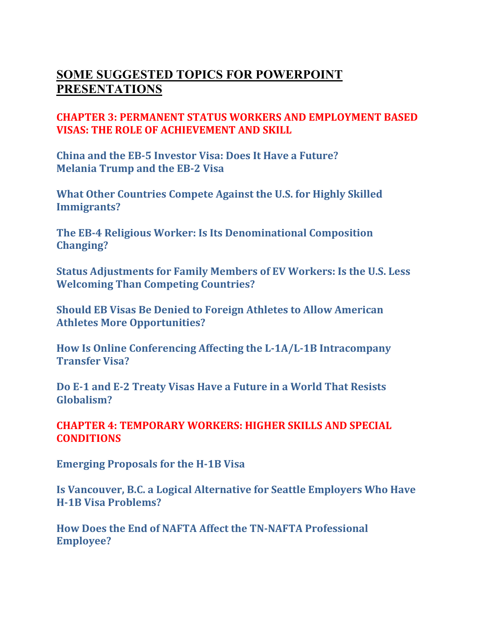# **SOME SUGGESTED TOPICS FOR POWERPOINT PRESENTATIONS**

## **CHAPTER 3: PERMANENT STATUS WORKERS AND EMPLOYMENT BASED VISAS: THE ROLE OF ACHIEVEMENT AND SKILL**

**China and the EB-5 Investor Visa: Does It Have a Future? Melania Trump and the EB-2 Visa**

**What Other Countries Compete Against the U.S. for Highly Skilled Immigrants?**

**The EB-4 Religious Worker: Is Its Denominational Composition Changing?**

**Status Adjustments for Family Members of EV Workers: Is the U.S. Less Welcoming Than Competing Countries?**

**Should EB Visas Be Denied to Foreign Athletes to Allow American Athletes More Opportunities?**

**How Is Online Conferencing Affecting the L-1A/L-1B Intracompany Transfer Visa?**

**Do E-1 and E-2 Treaty Visas Have a Future in a World That Resists Globalism?**

**CHAPTER 4: TEMPORARY WORKERS: HIGHER SKILLS AND SPECIAL CONDITIONS**

**Emerging Proposals for the H-1B Visa**

**Is Vancouver, B.C. a Logical Alternative for Seattle Employers Who Have H-1B Visa Problems?**

**How Does the End of NAFTA Affect the TN-NAFTA Professional Employee?**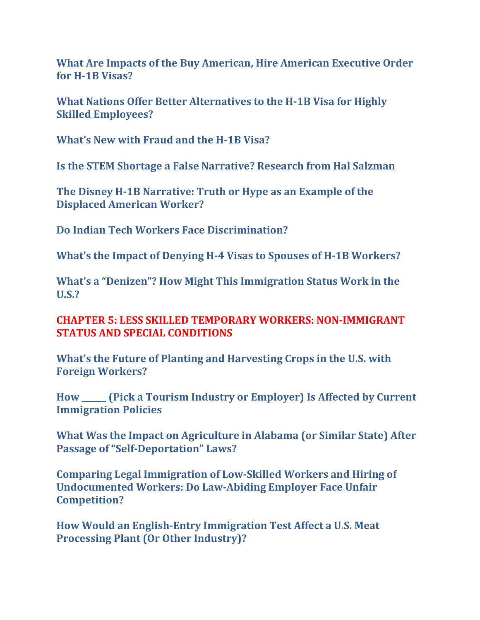**What Are Impacts of the Buy American, Hire American Executive Order for H-1B Visas?**

**What Nations Offer Better Alternatives to the H-1B Visa for Highly Skilled Employees?**

**What's New with Fraud and the H-1B Visa?**

**Is the STEM Shortage a False Narrative? Research from Hal Salzman**

**The Disney H-1B Narrative: Truth or Hype as an Example of the Displaced American Worker?**

**Do Indian Tech Workers Face Discrimination?**

**What's the Impact of Denying H-4 Visas to Spouses of H-1B Workers?**

**What's a "Denizen"? How Might This Immigration Status Work in the U.S.?**

### **CHAPTER 5: LESS SKILLED TEMPORARY WORKERS: NON-IMMIGRANT STATUS AND SPECIAL CONDITIONS**

**What's the Future of Planting and Harvesting Crops in the U.S. with Foreign Workers?**

**How \_\_\_\_\_\_ (Pick a Tourism Industry or Employer) Is Affected by Current Immigration Policies**

**What Was the Impact on Agriculture in Alabama (or Similar State) After Passage of "Self-Deportation" Laws?**

**Comparing Legal Immigration of Low-Skilled Workers and Hiring of Undocumented Workers: Do Law-Abiding Employer Face Unfair Competition?**

**How Would an English-Entry Immigration Test Affect a U.S. Meat Processing Plant (Or Other Industry)?**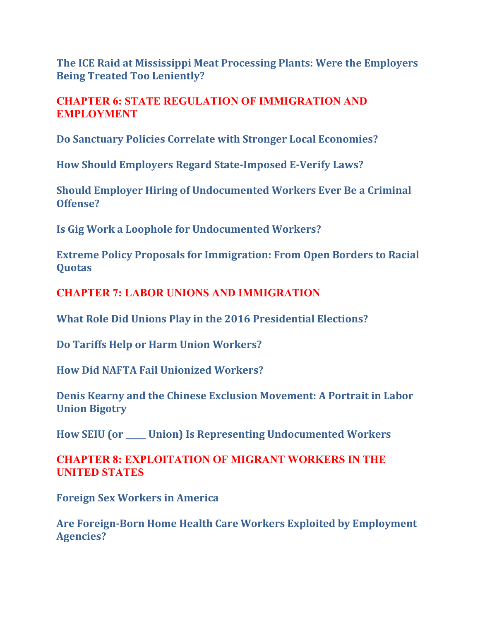**The ICE Raid at Mississippi Meat Processing Plants: Were the Employers Being Treated Too Leniently?**

**CHAPTER 6: STATE REGULATION OF IMMIGRATION AND EMPLOYMENT**

**Do Sanctuary Policies Correlate with Stronger Local Economies?** 

**How Should Employers Regard State-Imposed E-Verify Laws?** 

**Should Employer Hiring of Undocumented Workers Ever Be a Criminal Offense?** 

**Is Gig Work a Loophole for Undocumented Workers?**

**Extreme Policy Proposals for Immigration: From Open Borders to Racial Quotas**

**CHAPTER 7: LABOR UNIONS AND IMMIGRATION**

**What Role Did Unions Play in the 2016 Presidential Elections?**

**Do Tariffs Help or Harm Union Workers?**

**How Did NAFTA Fail Unionized Workers?**

**Denis Kearny and the Chinese Exclusion Movement: A Portrait in Labor Union Bigotry**

**How SEIU (or \_\_\_\_\_ Union) Is Representing Undocumented Workers**

**CHAPTER 8: EXPLOITATION OF MIGRANT WORKERS IN THE UNITED STATES**

**Foreign Sex Workers in America** 

**Are Foreign-Born Home Health Care Workers Exploited by Employment Agencies?**